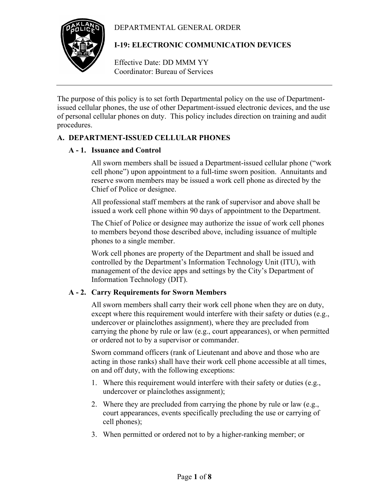# DEPARTMENTAL GENERAL ORDER



# **I-19: ELECTRONIC COMMUNICATION DEVICES**

Effective Date: DD MMM YY Coordinator: Bureau of Services

The purpose of this policy is to set forth Departmental policy on the use of Departmentissued cellular phones, the use of other Department-issued electronic devices, and the use of personal cellular phones on duty. This policy includes direction on training and audit procedures.

# **A. DEPARTMENT-ISSUED CELLULAR PHONES**

## **A - 1. Issuance and Control**

All sworn members shall be issued a Department-issued cellular phone ("work cell phone") upon appointment to a full-time sworn position. Annuitants and reserve sworn members may be issued a work cell phone as directed by the Chief of Police or designee.

All professional staff members at the rank of supervisor and above shall be issued a work cell phone within 90 days of appointment to the Department.

The Chief of Police or designee may authorize the issue of work cell phones to members beyond those described above, including issuance of multiple phones to a single member.

Work cell phones are property of the Department and shall be issued and controlled by the Department's Information Technology Unit (ITU), with management of the device apps and settings by the City's Department of Information Technology (DIT).

## **A - 2. Carry Requirements for Sworn Members**

All sworn members shall carry their work cell phone when they are on duty, except where this requirement would interfere with their safety or duties (e.g., undercover or plainclothes assignment), where they are precluded from carrying the phone by rule or law (e.g., court appearances), or when permitted or ordered not to by a supervisor or commander.

Sworn command officers (rank of Lieutenant and above and those who are acting in those ranks) shall have their work cell phone accessible at all times, on and off duty, with the following exceptions:

- 1. Where this requirement would interfere with their safety or duties (e.g., undercover or plainclothes assignment);
- 2. Where they are precluded from carrying the phone by rule or law (e.g., court appearances, events specifically precluding the use or carrying of cell phones);
- 3. When permitted or ordered not to by a higher-ranking member; or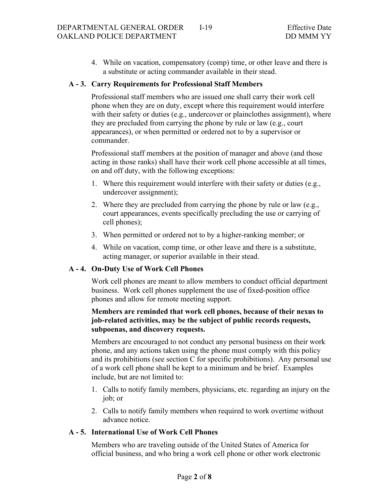4. While on vacation, compensatory (comp) time, or other leave and there is a substitute or acting commander available in their stead.

### **A - 3. Carry Requirements for Professional Staff Members**

Professional staff members who are issued one shall carry their work cell phone when they are on duty, except where this requirement would interfere with their safety or duties (e.g., undercover or plainclothes assignment), where they are precluded from carrying the phone by rule or law (e.g., court appearances), or when permitted or ordered not to by a supervisor or commander.

Professional staff members at the position of manager and above (and those acting in those ranks) shall have their work cell phone accessible at all times, on and off duty, with the following exceptions:

- 1. Where this requirement would interfere with their safety or duties (e.g., undercover assignment);
- 2. Where they are precluded from carrying the phone by rule or law (e.g., court appearances, events specifically precluding the use or carrying of cell phones);
- 3. When permitted or ordered not to by a higher-ranking member; or
- 4. While on vacation, comp time, or other leave and there is a substitute, acting manager, or superior available in their stead.

### **A - 4. On-Duty Use of Work Cell Phones**

Work cell phones are meant to allow members to conduct official department business. Work cell phones supplement the use of fixed-position office phones and allow for remote meeting support.

## **Members are reminded that work cell phones, because of their nexus to job-related activities, may be the subject of public records requests, subpoenas, and discovery requests.**

Members are encouraged to not conduct any personal business on their work phone, and any actions taken using the phone must comply with this policy and its prohibitions (see section C for specific prohibitions). Any personal use of a work cell phone shall be kept to a minimum and be brief. Examples include, but are not limited to:

- 1. Calls to notify family members, physicians, etc. regarding an injury on the job; or
- 2. Calls to notify family members when required to work overtime without advance notice.

### **A - 5. International Use of Work Cell Phones**

Members who are traveling outside of the United States of America for official business, and who bring a work cell phone or other work electronic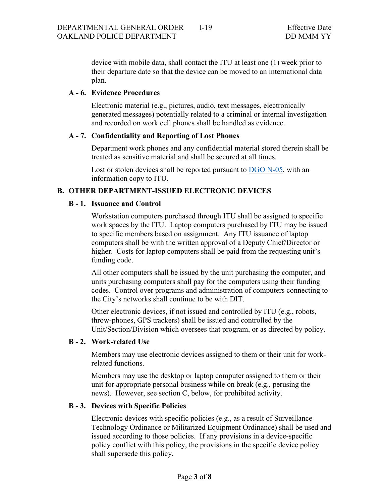device with mobile data, shall contact the ITU at least one (1) week prior to their departure date so that the device can be moved to an international data plan.

## **A - 6. Evidence Procedures**

Electronic material (e.g., pictures, audio, text messages, electronically generated messages) potentially related to a criminal or internal investigation and recorded on work cell phones shall be handled as evidence.

## **A - 7. Confidentiality and Reporting of Lost Phones**

Department work phones and any confidential material stored therein shall be treated as sensitive material and shall be secured at all times.

Lost or stolen devices shall be reported pursuant to DGO N-05, with an information copy to ITU.

# **B. OTHER DEPARTMENT-ISSUED ELECTRONIC DEVICES**

## **B - 1. Issuance and Control**

Workstation computers purchased through ITU shall be assigned to specific work spaces by the ITU. Laptop computers purchased by ITU may be issued to specific members based on assignment. Any ITU issuance of laptop computers shall be with the written approval of a Deputy Chief/Director or higher. Costs for laptop computers shall be paid from the requesting unit's funding code.

All other computers shall be issued by the unit purchasing the computer, and units purchasing computers shall pay for the computers using their funding codes. Control over programs and administration of computers connecting to the City's networks shall continue to be with DIT.

Other electronic devices, if not issued and controlled by ITU (e.g., robots, throw-phones, GPS trackers) shall be issued and controlled by the Unit/Section/Division which oversees that program, or as directed by policy.

### **B - 2. Work-related Use**

Members may use electronic devices assigned to them or their unit for workrelated functions.

Members may use the desktop or laptop computer assigned to them or their unit for appropriate personal business while on break (e.g., perusing the news). However, see section C, below, for prohibited activity.

### **B - 3. Devices with Specific Policies**

Electronic devices with specific policies (e.g., as a result of Surveillance Technology Ordinance or Militarized Equipment Ordinance) shall be used and issued according to those policies. If any provisions in a device-specific policy conflict with this policy, the provisions in the specific device policy shall supersede this policy.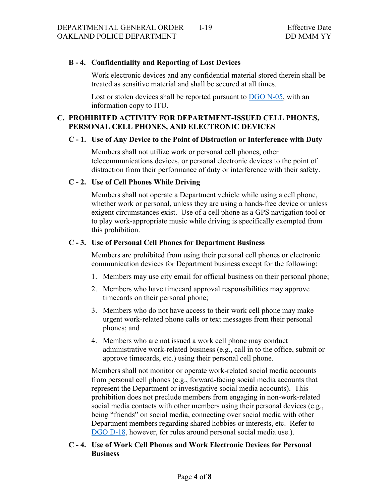## **B - 4. Confidentiality and Reporting of Lost Devices**

Work electronic devices and any confidential material stored therein shall be treated as sensitive material and shall be secured at all times.

Lost or stolen devices shall be reported pursuant to  $\overline{DGO N-05}$ , with an information copy to ITU.

## **C. PROHIBITED ACTIVITY FOR DEPARTMENT-ISSUED CELL PHONES, PERSONAL CELL PHONES, AND ELECTRONIC DEVICES**

### **C - 1. Use of Any Device to the Point of Distraction or Interference with Duty**

Members shall not utilize work or personal cell phones, other telecommunications devices, or personal electronic devices to the point of distraction from their performance of duty or interference with their safety.

### **C - 2. Use of Cell Phones While Driving**

Members shall not operate a Department vehicle while using a cell phone, whether work or personal, unless they are using a hands-free device or unless exigent circumstances exist. Use of a cell phone as a GPS navigation tool or to play work-appropriate music while driving is specifically exempted from this prohibition.

#### **C - 3. Use of Personal Cell Phones for Department Business**

Members are prohibited from using their personal cell phones or electronic communication devices for Department business except for the following:

- 1. Members may use city email for official business on their personal phone;
- 2. Members who have timecard approval responsibilities may approve timecards on their personal phone;
- 3. Members who do not have access to their work cell phone may make urgent work-related phone calls or text messages from their personal phones; and
- 4. Members who are not issued a work cell phone may conduct administrative work-related business (e.g., call in to the office, submit or approve timecards, etc.) using their personal cell phone.

Members shall not monitor or operate work-related social media accounts from personal cell phones (e.g., forward-facing social media accounts that represent the Department or investigative social media accounts). This prohibition does not preclude members from engaging in non-work-related social media contacts with other members using their personal devices (e.g., being "friends" on social media, connecting over social media with other Department members regarding shared hobbies or interests, etc. Refer to DGO D-18, however, for rules around personal social media use.).

## **C - 4. Use of Work Cell Phones and Work Electronic Devices for Personal Business**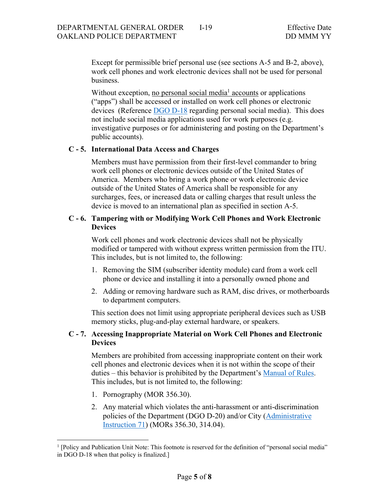Except for permissible brief personal use (see sections A-5 and B-2, above), work cell phones and work electronic devices shall not be used for personal business.

Without exception, no personal social media<sup>1</sup> accounts or applications ("apps") shall be accessed or installed on work cell phones or electronic devices (Reference DGO D-18 regarding personal social media). This does not include social media applications used for work purposes (e.g. investigative purposes or for administering and posting on the Department's public accounts).

#### **C - 5. International Data Access and Charges**

Members must have permission from their first-level commander to bring work cell phones or electronic devices outside of the United States of America. Members who bring a work phone or work electronic device outside of the United States of America shall be responsible for any surcharges, fees, or increased data or calling charges that result unless the device is moved to an international plan as specified in section A-5.

### **C - 6. Tampering with or Modifying Work Cell Phones and Work Electronic Devices**

Work cell phones and work electronic devices shall not be physically modified or tampered with without express written permission from the ITU. This includes, but is not limited to, the following:

- 1. Removing the SIM (subscriber identity module) card from a work cell phone or device and installing it into a personally owned phone and
- 2. Adding or removing hardware such as RAM, disc drives, or motherboards to department computers.

This section does not limit using appropriate peripheral devices such as USB memory sticks, plug-and-play external hardware, or speakers.

## **C - 7. Accessing Inappropriate Material on Work Cell Phones and Electronic Devices**

Members are prohibited from accessing inappropriate content on their work cell phones and electronic devices when it is not within the scope of their duties – this behavior is prohibited by the Department's Manual of Rules. This includes, but is not limited to, the following:

- 1. Pornography (MOR 356.30).
- 2. Any material which violates the anti-harassment or anti-discrimination policies of the Department (DGO D-20) and/or City (Administrative Instruction 71) (MORs 356.30, 314.04).

<sup>&</sup>lt;sup>1</sup> [Policy and Publication Unit Note: This footnote is reserved for the definition of "personal social media" in DGO D-18 when that policy is finalized.]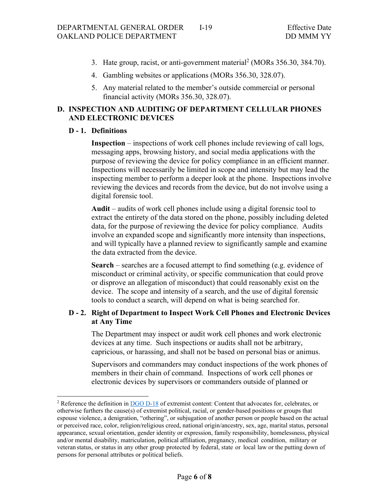- 3. Hate group, racist, or anti-government material<sup>2</sup> (MORs 356.30, 384.70).
- 4. Gambling websites or applications (MORs 356.30, 328.07).
- 5. Any material related to the member's outside commercial or personal financial activity (MORs 356.30, 328.07).

# **D. INSPECTION AND AUDITING OF DEPARTMENT CELLULAR PHONES AND ELECTRONIC DEVICES**

## **D - 1. Definitions**

**Inspection** – inspections of work cell phones include reviewing of call logs, messaging apps, browsing history, and social media applications with the purpose of reviewing the device for policy compliance in an efficient manner. Inspections will necessarily be limited in scope and intensity but may lead the inspecting member to perform a deeper look at the phone. Inspections involve reviewing the devices and records from the device, but do not involve using a digital forensic tool.

**Audit** – audits of work cell phones include using a digital forensic tool to extract the entirety of the data stored on the phone, possibly including deleted data, for the purpose of reviewing the device for policy compliance. Audits involve an expanded scope and significantly more intensity than inspections, and will typically have a planned review to significantly sample and examine the data extracted from the device.

**Search** – searches are a focused attempt to find something (e.g. evidence of misconduct or criminal activity, or specific communication that could prove or disprove an allegation of misconduct) that could reasonably exist on the device. The scope and intensity of a search, and the use of digital forensic tools to conduct a search, will depend on what is being searched for.

## **D - 2. Right of Department to Inspect Work Cell Phones and Electronic Devices at Any Time**

The Department may inspect or audit work cell phones and work electronic devices at any time. Such inspections or audits shall not be arbitrary, capricious, or harassing, and shall not be based on personal bias or animus.

Supervisors and commanders may conduct inspections of the work phones of members in their chain of command. Inspections of work cell phones or electronic devices by supervisors or commanders outside of planned or

<sup>&</sup>lt;sup>2</sup> Reference the definition in  $\overline{DGO D-18}$  of extremist content: Content that advocates for, celebrates, or otherwise furthers the cause(s) of extremist political, racial, or gender-based positions or groups that espouse violence, a denigration, "othering", or subjugation of another person or people based on the actual or perceived race, color, religion/religious creed, national origin/ancestry, sex, age, marital status, personal appearance, sexual orientation, gender identity or expression, family responsibility, homelessness, physical and/or mental disability, matriculation, political affiliation, pregnancy, medical condition, military or veteran status, or status in any other group protected by federal, state or local law or the putting down of persons for personal attributes or political beliefs.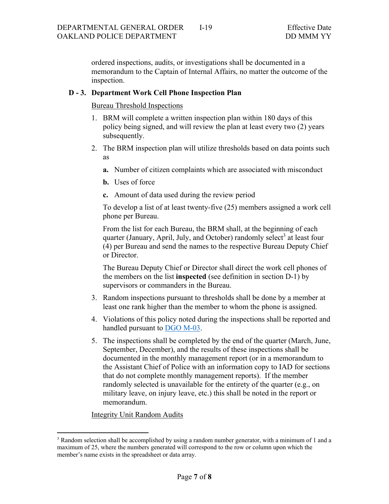ordered inspections, audits, or investigations shall be documented in a memorandum to the Captain of Internal Affairs, no matter the outcome of the inspection.

#### **D - 3. Department Work Cell Phone Inspection Plan**

Bureau Threshold Inspections

- 1. BRM will complete a written inspection plan within 180 days of this policy being signed, and will review the plan at least every two (2) years subsequently.
- 2. The BRM inspection plan will utilize thresholds based on data points such as
	- **a.** Number of citizen complaints which are associated with misconduct
	- **b.** Uses of force
	- **c.** Amount of data used during the review period

To develop a list of at least twenty-five (25) members assigned a work cell phone per Bureau.

From the list for each Bureau, the BRM shall, at the beginning of each quarter (January, April, July, and October) randomly select<sup>3</sup> at least four (4) per Bureau and send the names to the respective Bureau Deputy Chief or Director.

The Bureau Deputy Chief or Director shall direct the work cell phones of the members on the list **inspected** (see definition in section D-1) by supervisors or commanders in the Bureau.

- 3. Random inspections pursuant to thresholds shall be done by a member at least one rank higher than the member to whom the phone is assigned.
- 4. Violations of this policy noted during the inspections shall be reported and handled pursuant to DGO M-03.
- 5. The inspections shall be completed by the end of the quarter (March, June, September, December), and the results of these inspections shall be documented in the monthly management report (or in a memorandum to the Assistant Chief of Police with an information copy to IAD for sections that do not complete monthly management reports). If the member randomly selected is unavailable for the entirety of the quarter (e.g., on military leave, on injury leave, etc.) this shall be noted in the report or memorandum.

Integrity Unit Random Audits

<sup>&</sup>lt;sup>3</sup> Random selection shall be accomplished by using a random number generator, with a minimum of 1 and a maximum of 25, where the numbers generated will correspond to the row or column upon which the member's name exists in the spreadsheet or data array.